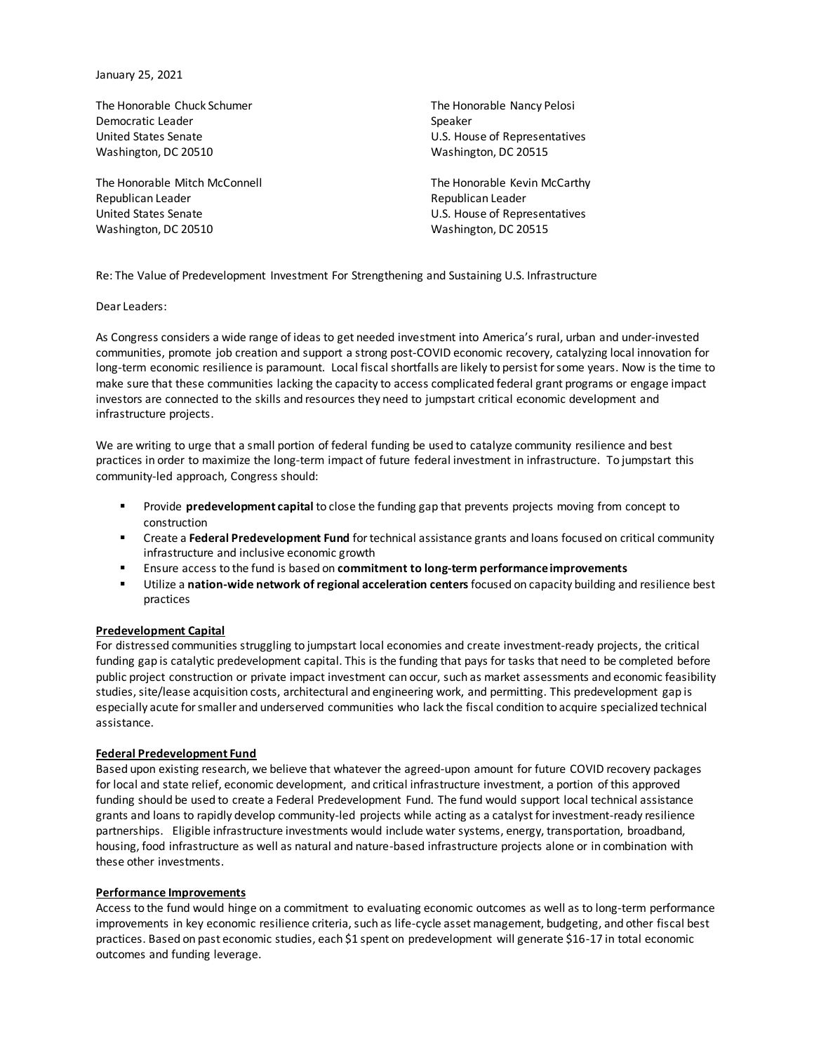January 25, 2021

The Honorable Chuck Schumer Democratic Leader United States Senate Washington, DC 20510

The Honorable Mitch McConnell Republican Leader United States Senate Washington, DC 20510

The Honorable Nancy Pelosi Speaker U.S. House of Representatives Washington, DC 20515

The Honorable Kevin McCarthy Republican Leader U.S. House of Representatives Washington, DC 20515

Re: The Value of Predevelopment Investment For Strengthening and Sustaining U.S. Infrastructure

Dear Leaders:

As Congress considers a wide range of ideas to get needed investment into America's rural, urban and under-invested communities, promote job creation and support a strong post-COVID economic recovery, catalyzing local innovation for long-term economic resilience is paramount. Local fiscal shortfalls are likely to persist for some years. Now is the time to make sure that these communities lacking the capacity to access complicated federal grant programs or engage impact investors are connected to the skills and resources they need to jumpstart critical economic development and infrastructure projects.

We are writing to urge that a small portion of federal funding be used to catalyze community resilience and best practices in order to maximize the long-term impact of future federal investment in infrastructure. To jumpstart this community-led approach, Congress should:

- Provide **predevelopment capital** to close the funding gap that prevents projects moving from concept to construction
- Create a **Federal Predevelopment Fund** for technical assistance grants and loans focused on critical community infrastructure and inclusive economic growth
- Ensure access to the fund is based on **commitment to long-term performance improvements**
- Utilize a **nation-wide network of regional acceleration centers**focused on capacity building and resilience best practices

## **Predevelopment Capital**

For distressed communities struggling to jumpstart local economies and create investment-ready projects, the critical funding gap is catalytic predevelopment capital. This is the funding that pays for tasks that need to be completed before public project construction or private impact investment can occur, such as market assessments and economic feasibility studies, site/lease acquisition costs, architectural and engineering work, and permitting. This predevelopment gap is especially acute for smaller and underserved communities who lack the fiscal condition to acquire specialized technical assistance.

## **Federal Predevelopment Fund**

Based upon existing research, we believe that whatever the agreed-upon amount for future COVID recovery packages for local and state relief, economic development, and critical infrastructure investment, a portion of this approved funding should be used to create a Federal Predevelopment Fund. The fund would support local technical assistance grants and loans to rapidly develop community-led projects while acting as a catalyst for investment-ready resilience partnerships. Eligible infrastructure investments would include water systems, energy, transportation, broadband, housing, food infrastructure as well as natural and nature-based infrastructure projects alone or in combination with these other investments.

## **Performance Improvements**

Access to the fund would hinge on a commitment to evaluating economic outcomes as well as to long-term performance improvements in key economic resilience criteria, such as life-cycle asset management, budgeting, and other fiscal best practices. Based on past economic studies, each \$1 spent on predevelopment will generate \$16-17 in total economic outcomes and funding leverage.